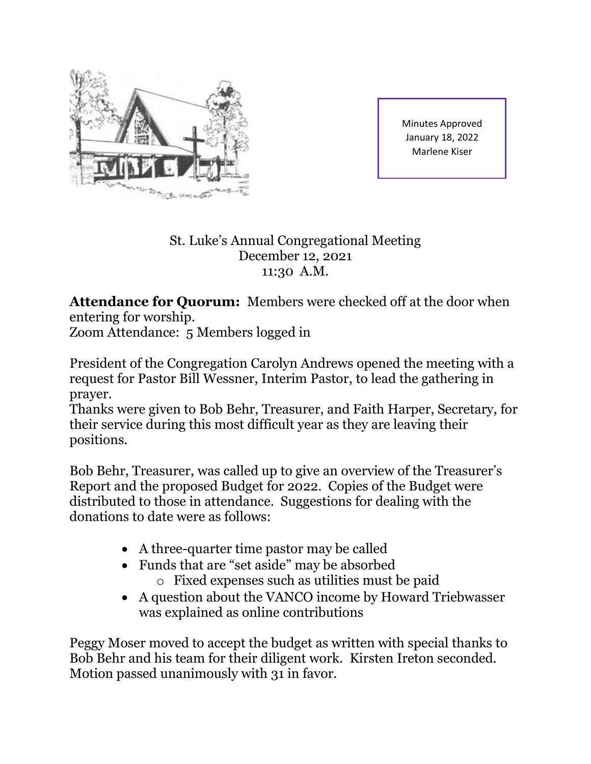

Minutes Approved January 18, 2022 Marlene Kiser

## St. Luke's Annual Congregational Meeting December 12, 2021 11:30 A.M.

**Attendance for Quorum:** Members were checked off at the door when entering for worship.

Zoom Attendance: 5 Members logged in

President of the Congregation Carolyn Andrews opened the meeting with a request for Pastor Bill Wessner, Interim Pastor, to lead the gathering in prayer.

Thanks were given to Bob Behr, Treasurer, and Faith Harper, Secretary, for their service during this most difficult year as they are leaving their positions.

Bob Behr, Treasurer, was called up to give an overview of the Treasurer's Report and the proposed Budget for 2022. Copies of the Budget were distributed to those in attendance. Suggestions for dealing with the donations to date were as follows:

- A three-quarter time pastor may be called
- Funds that are "set aside" may be absorbed
	- o Fixed expenses such as utilities must be paid
- A question about the VANCO income by Howard Triebwasser was explained as online contributions

Peggy Moser moved to accept the budget as written with special thanks to Bob Behr and his team for their diligent work. Kirsten Ireton seconded. Motion passed unanimously with 31 in favor.